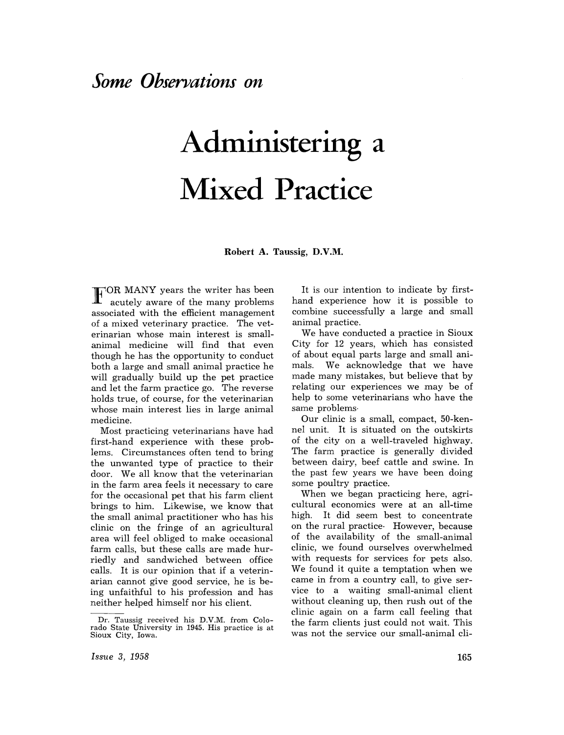## **Administering a Mixed Practice**

**Robert A.** Taussig, **D.V.M.** 

 $\mathbf{F}^{\text{OR} \text{ MANY}}$  years the writer has been acutely aware of the many problems associated with the efficient management of a mixed veterinary practice. The veterinarian whose main interest is smallanimal medicine will find that even though he has the opportunity to conduct both a large and small animal practice he will gradually build up the pet practice and let the farm practice go. The reverse holds true, of course, for the veterinarian whose main interest lies in large animal medicine.

Most practicing veterinarians have had first-hand experience with these problems. Circumstances often tend to bring the unwanted type of practice to their door. We all know that the veterinarian in the farm area feels it necessary to care for the occasional pet that his farm client brings to him. Likewise, we know that the small animal practitioner who has his clinic on the fringe of an agricultural area will feel obliged to make occasional farm calls, but these calls are made hurriedly and sandwiched between office calls. It is our opinion that if a veterinarian cannot give good service, he is being unfaithful to his profession and has neither helped himself nor his client.

It is our intention to indicate by firsthand experience how it is possible to combine successfully a large and small animal practice.

We have conducted a practice in Sioux City for 12 years, which has consisted of about equal parts large and small animals. We acknowledge that we have made many mistakes, but believe that by relating our experiences we may be of help to some veterinarians who have the same problems·

Our clinic is a small, compact, 50-kennel unit. It is situated on the outskirts of the city on a well-traveled highway. The farm practice is generally divided between dairy, beef cattle and swine. In the past few years we have been doing some poultry practice.

When we began practicing here, agricultural economics were at an all-time high. It did seem best to concentrate on the rural practice· However, because of the availability of the small-animal clinic, we found ourselves overwhelmed with requests for services for pets also. We found it quite a temptation when we came in from a country call, to give service to a waiting small-animal client without cleaning up, then rush out of the clinic again on a farm call feeling that the farm clients just could not wait. This was not the service our small-animal cli-

Dr. Taussig received his D.V.M. from Colorado State University in 1945. His practice is at Sioux City, Iowa.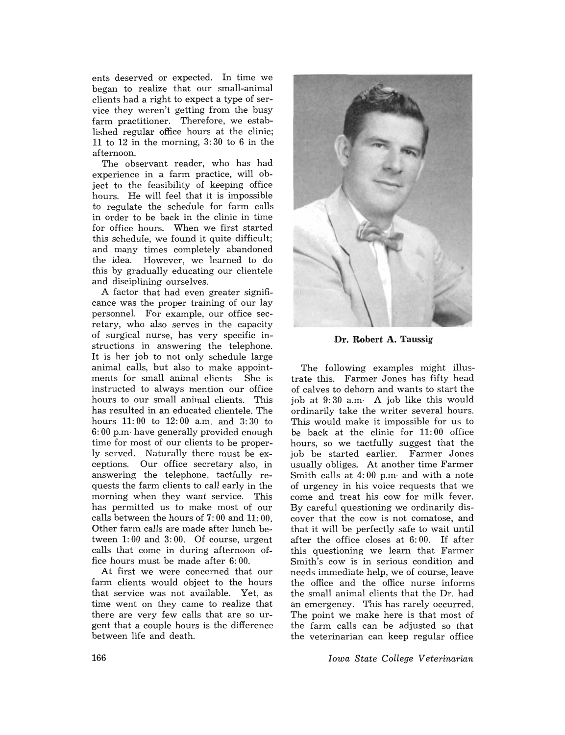ents deserved or expected. In time we began to realize that our small-animal clients had a right to expect a type of service they weren't getting from the busy farm practitioner. Therefore, we established regular office hours at the clinic; 11 to 12 in the morning, 3: 30 to 6 in the afternoon.

The observant reader, who has had experience in a farm practice, will object to the feasibility of keeping office hours. He will feel that it is impossible to regulate the schedule for farm calls in order to be back in the clinic in time for office hours. When we first started this schedule, we found it quite difficult; and many times completely abandoned the idea. However, we learned to do this by gradually educating our clientele and disciplining ourselves.

A factor that had even greater significance was the proper training of our lay personnel. For example, our office secretary, who also serves in the capacity of surgical nurse, has very specific instructions in answering the telephone. It is her job to not only schedule large animal calls, but also to make appointments for small animal clients- She is instructed to always mention our office hours to our small animal clients. This has resulted in an educated clientele. The hours 11: 00 to 12: 00 a.m. and 3: 30 to 6: 00 p.m- have generally provided enough time for most of our clients to be properly served. Naturally there must be exceptions. Our office secretary also, in answering the telephone, tactfully requests the farm clients to call early in the morning when they want service. This has permitted us to make most of our calls between the hours of 7: 00 and 11: 00. Other farm calls are made after lunch between 1: 00 and 3: 00. Of course, urgent calls that come in during afternoon office hours must be made after 6: 00.

At first we were concerned that our farm clients would object to the hours that service was not available. Yet, as time went on they came to realize that there are very few calls that are so urgent that a couple hours is the difference between life and death.



Dr. Robert A. Taussig

The following examples might illustrate this. Farmer Jones has fifty head of calves to dehorn and wants to start the job at  $9:30$  a.m. A job like this would ordinarily take the writer several hours. This would make it impossible for us to be back at the clinic for 11: 00 office hours, so we tactfully suggest that the job be started earlier. Farmer Jones usually obliges. At another time Farmer Smith calls at 4: 00 p.m- and with a note of urgency in his voice requests that we come and treat his cow for milk fever. By careful questioning we ordinarily discover that the cow is not comatose, and that it will be perfectly safe to wait until after the office closes at 6: 00. If after this questioning we learn that Farmer Smith's cow is in serious condition and needs immediate help, we of course, leave the office and the office nurse informs the small animal clients that the Dr. had an emergency. This has rarely occurred. The point we make here is that most of the farm calls can be adjusted so that the veterinarian can keep regular office

*Iowa State College Veterinarian*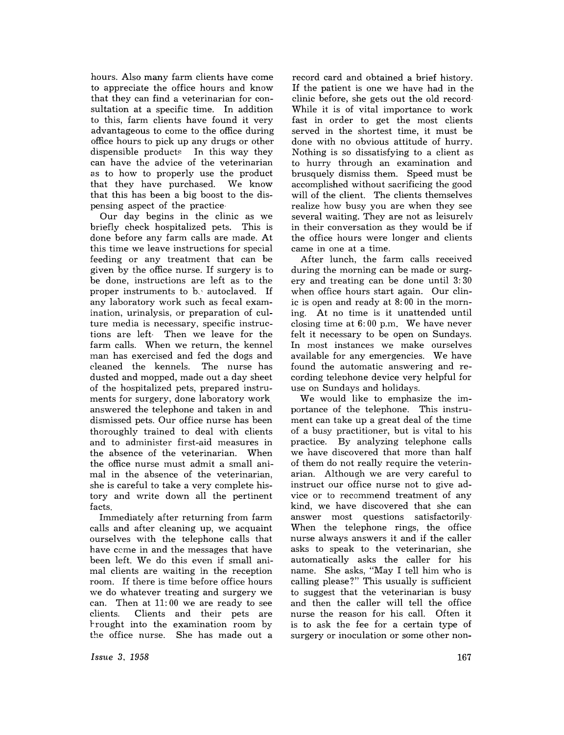hours. Also many farm clients have come to appreciate the office hours and know that they can find a veterinarian for consultation at a specific time. In addition to this, farm clients have found it very advantageous to come to the office during office hours to pick up any drugs or other dispensible products In this way they can have the advice of the veterinarian as to how to properly use the product that they have purchased. We know that this has been a big boost to the dispensing aspect of the practice·

Our day begins in the clinic as we briefly check hospitalized pets. This is done before any farm calls are made. At this time we leave instructions for special feeding or any treatment that can be given by the office nurse. If surgery is to be done, instructions are left as to the proper instruments to  $b_{\gamma}$  autoclaved. If any laboratory work such as fecal examination, urinalysis, or preparation of culture media is necessary, specific instructions are left· Then we leave for the farm calls. When we return, the kennel man has exercised and fed the dogs and cleaned the kennels. The nurse has dusted and mopped, made out a day sheet of the hospitalized pets, prepared instruments for surgery, done laboratory work answered the telephone and taken in and dismissed pets. Our office nurse has been thoroughly trained to deal with clients and to administer first-aid measures in the absence of the veterinarian. When the office nurse must admit a small animal in the absence of the veterinarian, she is careful to take a very complete history and write down all the pertinent facts.

Immediately after returning from farm calls and after cleaning up, we acquaint ourselves with the telephone calls that have come in and the messages that have been left. We do this even if small animal clients are waiting in the reception room. If there is time before office hours we do whatever treating and surgery we can. Then at 11: 00 we are ready to see clients. Clients and their pets are rrought into the examination room by the office nurse. She has made out a

record card and obtained a brief history. If the patient is one we have had in the clinic before, she gets out the old record· While it is of vital importance to work fast in order to get the most clients served in the shortest time, it must be done with no obvious attitude of hurry. Nothing is so dissatisfying to a client as to hurry through an examination and brusquely dismiss them. Speed must be accomplished without sacrificing the good will of the client. The clients themselves realize how busy you are when they see several waiting. They are not as leisurelv in their conversation as they would be if the office hours were longer and clients came in one at a time.

After lunch, the farm calls received during the morning can be made or surgery and treating can be done until 3: 30 when office hours start again. Our clinic is open and ready at 8: 00 in the morning. At no time is it unattended until closing time at 6: 00 p.m. We have never felt it necessary to be open on Sundays. In most instances we make ourselves available for any emergencies. We have found the automatic answering and recording telephone device very helpful for use on Sundays and holidays.

We would like to emphasize the importance of the telephone. This instrument can take up a great deal of the time of a busy practitioner, but is vital to his practice. By analyzing telephone calls we have discovered that more than half of them do not really require the veterinarian. Although we are very careful to instruct our office nurse not to give advice or to recommend treatment of any kind, we have discovered that she can answer most questions satisfactorily· When the telephone rings, the office nurse always answers it and if the caller asks to speak to the veterinarian, she automatically asks the caller for his name. She asks, "May I tell him who is calling please?" This usually is sufficient to suggest that the veterinarian is busy and then the caller will tell the office nurse the reason for his call. Often it is to ask the fee for a certain type of surgery or inoculation or some other non